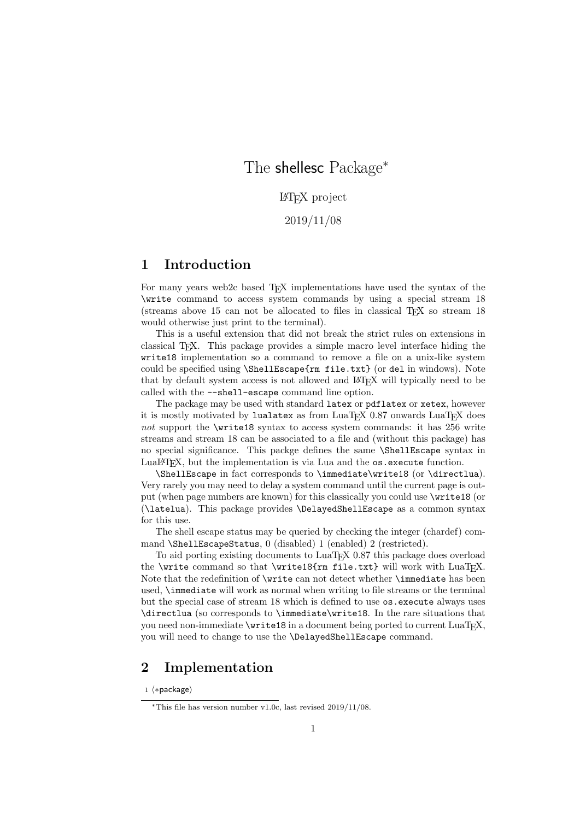# The shellesc Package<sup>∗</sup>

LATEX project

2019/11/08

## 1 Introduction

For many years web2c based T<sub>E</sub>X implementations have used the syntax of the \write command to access system commands by using a special stream 18 (streams above 15 can not be allocated to files in classical TEX so stream 18 would otherwise just print to the terminal).

This is a useful extension that did not break the strict rules on extensions in classical TEX. This package provides a simple macro level interface hiding the write18 implementation so a command to remove a file on a unix-like system could be specified using \ShellEscape{rm file.txt} (or del in windows). Note that by default system access is not allowed and LATEX will typically need to be called with the --shell-escape command line option.

The package may be used with standard latex or pdflatex or xetex, however it is mostly motivated by lualatex as from  $\text{LuafEX } 0.87$  onwards  $\text{LuafEX }$  does not support the \write18 syntax to access system commands: it has 256 write streams and stream 18 can be associated to a file and (without this package) has no special significance. This packge defines the same \ShellEscape syntax in LuaLAT<sub>E</sub>X, but the implementation is via Lua and the os.execute function.

\ShellEscape in fact corresponds to \immediate\write18 (or \directlua). Very rarely you may need to delay a system command until the current page is output (when page numbers are known) for this classically you could use \write18 (or (\latelua). This package provides \DelayedShellEscape as a common syntax for this use.

The shell escape status may be queried by checking the integer (chardef) command \ShellEscapeStatus, 0 (disabled) 1 (enabled) 2 (restricted).

To aid porting existing documents to LuaTEX 0.87 this package does overload the \write command so that \write18{rm file.txt} will work with LuaTEX. Note that the redefinition of \write can not detect whether \immediate has been used, \immediate will work as normal when writing to file streams or the terminal but the special case of stream 18 which is defined to use  $\circ s$ . execute always uses \directlua (so corresponds to \immediate\write18. In the rare situations that you need non-immediate \write18 in a document being ported to current LuaTEX, you will need to change to use the \DelayedShellEscape command.

## 2 Implementation

1 ⟨∗package⟩

<sup>∗</sup>This file has version number v1.0c, last revised 2019/11/08.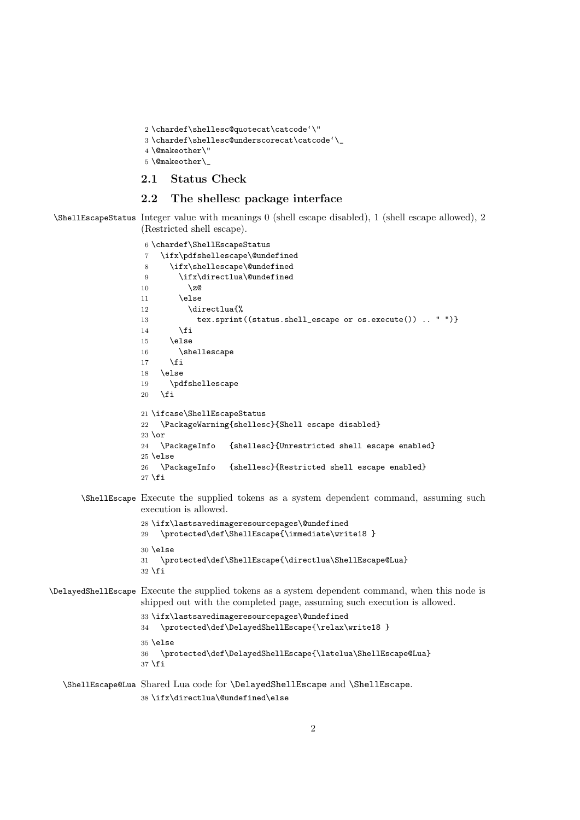```
2 \chardef\shellesc@quotecat\catcode'\"
```

```
3 \hat{\theta}' \label{eq:1}
```

```
4 \@makeother\"
```
\@makeother\\_

#### 2.1 Status Check

#### 2.2 The shellesc package interface

\ShellEscapeStatus Integer value with meanings 0 (shell escape disabled), 1 (shell escape allowed), 2 (Restricted shell escape).

```
6 \chardef\ShellEscapeStatus
                    7 \ifx\pdfshellescape\@undefined
                    8 \ifx\shellescape\@undefined
                    9 \ifx\directlua\@undefined
                    10 \overline{\smash{\big)}\ 20}11 \else
                    12 \directlua{%
                    13 tex.sprint((status.shell_escape or os.execute()) .. " ")}
                    14 \fi
                    15 \else
                    16 \shellescape
                    17 \fi
                    18 \else
                    19 \pdfshellescape
                    20 \quad \text{Vfi}21 \ifcase\ShellEscapeStatus
                   22 \PackageWarning{shellesc}{Shell escape disabled}
                   23 \text{lor}24 \PackageInfo {shellesc}{Unrestricted shell escape enabled}
                    25 \else
                    26 \PackageInfo {shellesc}{Restricted shell escape enabled}
                    27 \fi
       \ShellEscape Execute the supplied tokens as a system dependent command, assuming such
                    execution is allowed.
                    28 \ifx\lastsavedimageresourcepages\@undefined
                    29 \protected\def\ShellEscape{\immediate\write18 }
                    30 \else
                    31 \protected\def\ShellEscape{\directlua\ShellEscape@Lua}
                    32 \text{ t}\DelayedShellEscape Execute the supplied tokens as a system dependent command, when this node is
                    shipped out with the completed page, assuming such execution is allowed.
                    33 \ifx\lastsavedimageresourcepages\@undefined
                    34 \protected\def\DelayedShellEscape{\relax\write18 }
                    35 \else
                    36 \protected\def\DelayedShellEscape{\latelua\ShellEscape@Lua}
                    37 \fi
   \ShellEscape@Lua Shared Lua code for \DelayedShellEscape and \ShellEscape.
```

```
38 \ifx\directlua\@undefined\else
```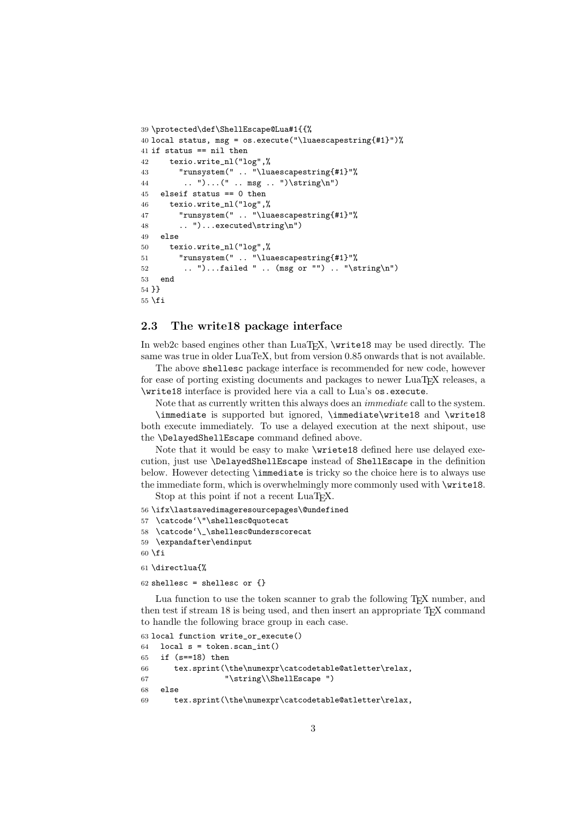```
39 \protected\def\ShellEscape@Lua#1{{%
40 local status, msg = os.execute("\luaescapestring{#1}")%
41 if status == nil then
42 texio.write_nl("log",%
43 "runsystem(" .. "\luaescapestring{#1}"%
44 .. ")...(" .. msg .. ")\string\n")
45 elseif status == 0 then
46 texio.write_nl("log",%
47 "runsystem(" .. "\luaescapestring{#1}"%
48 .. ")...executed\string\n")
49 else
50 texio.write_nl("log",%
51 "runsystem(" .. "\luaescapestring{#1}"%
52 .. ")...failed " .. (msg or "") .. "\string\n")
53 end
54 }}
55 \fi
```
#### 2.3 The write18 package interface

In web2c based engines other than LuaTEX, \write18 may be used directly. The same was true in older LuaTeX, but from version 0.85 onwards that is not available.

The above shellesc package interface is recommended for new code, however for ease of porting existing documents and packages to newer LuaTEX releases, a \write18 interface is provided here via a call to Lua's os.execute.

Note that as currently written this always does an immediate call to the system. \immediate is supported but ignored, \immediate\write18 and \write18 both execute immediately. To use a delayed execution at the next shipout, use the \DelayedShellEscape command defined above.

Note that it would be easy to make \wriete18 defined here use delayed execution, just use \DelayedShellEscape instead of ShellEscape in the definition below. However detecting \immediate is tricky so the choice here is to always use the immediate form, which is overwhelmingly more commonly used with \write18. Stop at this point if not a recent LuaT<sub>EX</sub>.

56 \ifx\lastsavedimageresourcepages\@undefined

```
57 \catcode'\"\shellesc@quotecat
```

```
58 \catcode'\_\shellesc@underscorecat
```

```
59 \expandafter\endinput
```
 $60$  \fi

61 \directlua{%

62 shellesc = shellesc or  $\{ \}$ 

Lua function to use the token scanner to grab the following TEX number, and then test if stream 18 is being used, and then insert an appropriate T<sub>E</sub>X command to handle the following brace group in each case.

```
63 local function write_or_execute()
64 local s = token.scan_int()
65 if (s==18) then
66 tex.sprint(\the\numexpr\catcodetable@atletter\relax,
67 "\string\\ShellEscape ")
68 else
69 tex.sprint(\the\numexpr\catcodetable@atletter\relax,
```